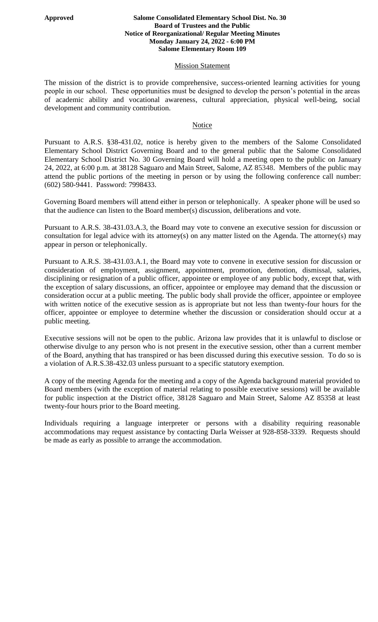## **Approved Salome Consolidated Elementary School Dist. No. 30 Board of Trustees and the Public Notice of Reorganizational/ Regular Meeting Minutes Monday January 24, 2022 - 6:00 PM Salome Elementary Room 109**

## **Mission Statement**

The mission of the district is to provide comprehensive, success-oriented learning activities for young people in our school. These opportunities must be designed to develop the person's potential in the areas of academic ability and vocational awareness, cultural appreciation, physical well-being, social development and community contribution.

## Notice

Pursuant to A.R.S. §38-431.02, notice is hereby given to the members of the Salome Consolidated Elementary School District Governing Board and to the general public that the Salome Consolidated Elementary School District No. 30 Governing Board will hold a meeting open to the public on January 24, 2022, at 6:00 p.m. at 38128 Saguaro and Main Street, Salome, AZ 85348. Members of the public may attend the public portions of the meeting in person or by using the following conference call number: (602) 580-9441. Password: 7998433.

Governing Board members will attend either in person or telephonically. A speaker phone will be used so that the audience can listen to the Board member(s) discussion, deliberations and vote.

Pursuant to A.R.S. 38-431.03.A.3, the Board may vote to convene an executive session for discussion or consultation for legal advice with its attorney(s) on any matter listed on the Agenda. The attorney(s) may appear in person or telephonically.

Pursuant to A.R.S. 38-431.03.A.1, the Board may vote to convene in executive session for discussion or consideration of employment, assignment, appointment, promotion, demotion, dismissal, salaries, disciplining or resignation of a public officer, appointee or employee of any public body, except that, with the exception of salary discussions, an officer, appointee or employee may demand that the discussion or consideration occur at a public meeting. The public body shall provide the officer, appointee or employee with written notice of the executive session as is appropriate but not less than twenty-four hours for the officer, appointee or employee to determine whether the discussion or consideration should occur at a public meeting.

Executive sessions will not be open to the public. Arizona law provides that it is unlawful to disclose or otherwise divulge to any person who is not present in the executive session, other than a current member of the Board, anything that has transpired or has been discussed during this executive session. To do so is a violation of A.R.S.38-432.03 unless pursuant to a specific statutory exemption.

A copy of the meeting Agenda for the meeting and a copy of the Agenda background material provided to Board members (with the exception of material relating to possible executive sessions) will be available for public inspection at the District office, 38128 Saguaro and Main Street, Salome AZ 85358 at least twenty-four hours prior to the Board meeting.

Individuals requiring a language interpreter or persons with a disability requiring reasonable accommodations may request assistance by contacting Darla Weisser at 928-858-3339. Requests should be made as early as possible to arrange the accommodation.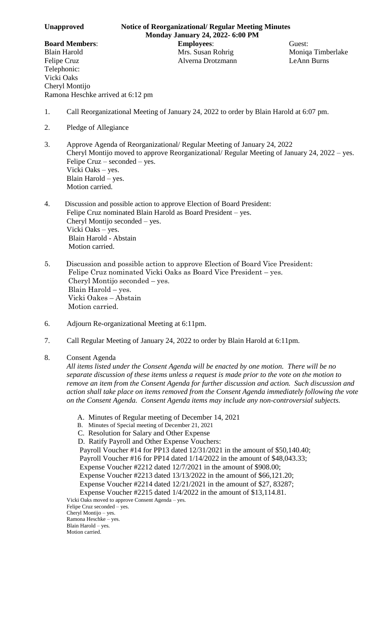Telephonic: Vicki Oaks Cheryl Montijo

- 1. Call Reorganizational Meeting of January 24, 2022 to order by Blain Harold at 6:07 pm.
- 2. Pledge of Allegiance

Ramona Heschke arrived at 6:12 pm

- 3. Approve Agenda of Reorganizational/ Regular Meeting of January 24, 2022 Cheryl Montijo moved to approve Reorganizational/ Regular Meeting of January 24, 2022 – yes. Felipe Cruz – seconded – yes. Vicki Oaks – yes. Blain Harold – yes. Motion carried.
- 4. Discussion and possible action to approve Election of Board President: Felipe Cruz nominated Blain Harold as Board President – yes. Cheryl Montijo seconded – yes. Vicki Oaks – yes. Blain Harold - Abstain Motion carried.
- 5. Discussion and possible action to approve Election of Board Vice President: Felipe Cruz nominated Vicki Oaks as Board Vice President – yes. Cheryl Montijo seconded – yes. Blain Harold – yes. Vicki Oakes – Abstain Motion carried.
- 6. Adjourn Re-organizational Meeting at 6:11pm.
- 7. Call Regular Meeting of January 24, 2022 to order by Blain Harold at 6:11pm.
- 8. Consent Agenda

*All items listed under the Consent Agenda will be enacted by one motion. There will be no separate discussion of these items unless a request is made prior to the vote on the motion to remove an item from the Consent Agenda for further discussion and action. Such discussion and action shall take place on items removed from the Consent Agenda immediately following the vote on the Consent Agenda. Consent Agenda items may include any non-controversial subjects.*

- A. Minutes of Regular meeting of December 14, 2021
- B. Minutes of Special meeting of December 21, 2021
- C. Resolution for Salary and Other Expense
- D. Ratify Payroll and Other Expense Vouchers:

Payroll Voucher #14 for PP13 dated 12/31/2021 in the amount of \$50,140.40;

- Payroll Voucher #16 for PP14 dated 1/14/2022 in the amount of \$48,043.33;
- Expense Voucher #2212 dated 12/7/2021 in the amount of \$908.00;
- Expense Voucher #2213 dated 13/13/2022 in the amount of \$66,121.20;

Expense Voucher #2214 dated 12/21/2021 in the amount of \$27, 83287;

Expense Voucher #2215 dated 1/4/2022 in the amount of \$13,114.81.

Vicki Oaks moved to approve Consent Agenda – yes. Felipe Cruz seconded – yes.

Cheryl Montijo – yes. Ramona Heschke – yes.

Blain Harold – yes. Motion carried.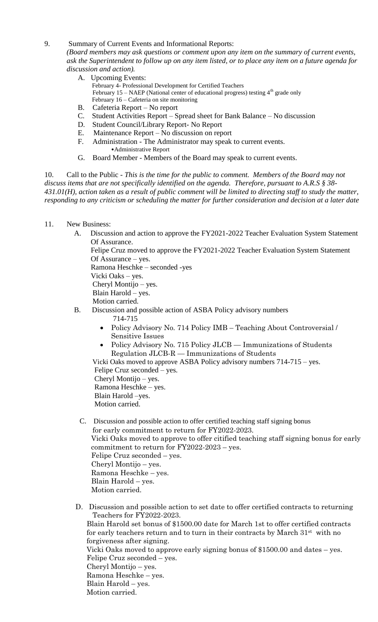## 9. Summary of Current Events and Informational Reports:

*(Board members may ask questions or comment upon any item on the summary of current events, ask the Superintendent to follow up on any item listed, or to place any item on a future agenda for discussion and action).*

- A. Upcoming Events: February 4- Professional Development for Certified Teachers February 15 – NAEP (National center of educational progress) testing  $4<sup>th</sup>$  grade only February 16 – Cafeteria on site monitoring
- B. Cafeteria Report No report
- C. Student Activities Report Spread sheet for Bank Balance No discussion
- D. Student Council/Library Report- No Report
- E. Maintenance Report No discussion on report
- F. Administration The Administrator may speak to current events. •Administrative Report
- G. Board Member Members of the Board may speak to current events.

10. Call to the Public - *This is the time for the public to comment. Members of the Board may not discuss items that are not specifically identified on the agenda. Therefore, pursuant to A.R.S § 38- 431.01(H), action taken as a result of public comment will be limited to directing staff to study the matter, responding to any criticism or scheduling the matter for further consideration and decision at a later date*

- 11. New Business:
	- A. Discussion and action to approve the FY2021-2022 Teacher Evaluation System Statement Of Assurance.

 Felipe Cruz moved to approve the FY2021-2022 Teacher Evaluation System Statement Of Assurance – yes.

Ramona Heschke – seconded -yes

Vicki Oaks – yes.

Cheryl Montijo – yes.

Blain Harold – yes.

Motion carried.

- B. Discussion and possible action of ASBA Policy advisory numbers
	- 714-715
		- Policy Advisory No. 714 Policy IMB Teaching About Controversial / Sensitive Issues
		- Policy Advisory No. 715 Policy JLCB Immunizations of Students Regulation JLCB-R — Immunizations of Students

 Vicki Oaks moved to approve ASBA Policy advisory numbers 714-715 – yes. Felipe Cruz seconded – yes. Cheryl Montijo – yes. Ramona Heschke – yes. Blain Harold –yes. Motion carried.

- C. Discussion and possible action to offer certified teaching staff signing bonus for early commitment to return for FY2022-2023. Vicki Oaks moved to approve to offer citified teaching staff signing bonus for early commitment to return for FY2022-2023 – yes. Felipe Cruz seconded – yes. Cheryl Montijo – yes. Ramona Heschke – yes. Blain Harold – yes. Motion carried.
- D. Discussion and possible action to set date to offer certified contracts to returning Teachers for FY2022-2023. Blain Harold set bonus of \$1500.00 date for March 1st to offer certified contracts for early teachers return and to turn in their contracts by March 31<sup>st</sup> with no forgiveness after signing. Vicki Oaks moved to approve early signing bonus of \$1500.00 and dates – yes. Felipe Cruz seconded – yes. Cheryl Montijo – yes. Ramona Heschke – yes. Blain Harold – yes. Motion carried.